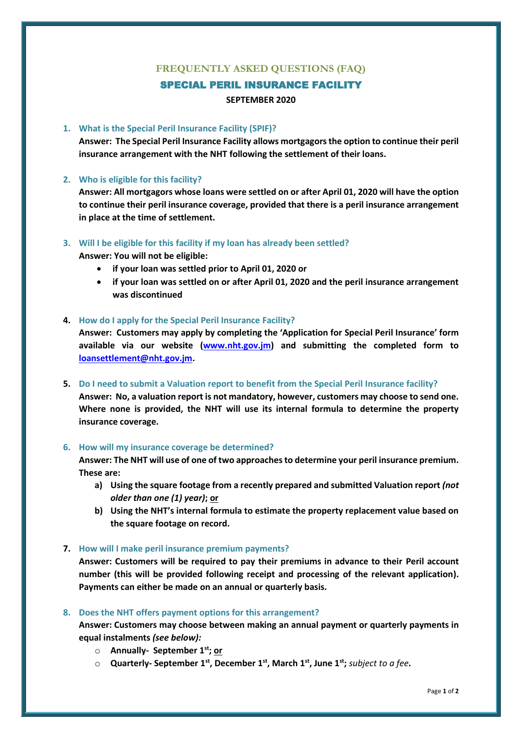# **FREQUENTLY ASKED QUESTIONS (FAQ)**

# SPECIAL PERIL INSURANCE FACILITY

### **SEPTEMBER 2020**

# **1. What is the Special Peril Insurance Facility (SPIF)?**

**Answer: The Special Peril Insurance Facility allows mortgagors the option to continue their peril insurance arrangement with the NHT following the settlement of their loans.**

## **2. Who is eligible for this facility?**

**Answer: All mortgagors whose loans were settled on or after April 01, 2020 will have the option to continue their peril insurance coverage, provided that there is a peril insurance arrangement in place at the time of settlement.**

#### **3. Will I be eligible for this facility if my loan has already been settled?**

**Answer: You will not be eligible:**

- **if your loan was settled prior to April 01, 2020 or**
- **if your loan was settled on or after April 01, 2020 and the peril insurance arrangement was discontinued**

## **4. How do I apply for the Special Peril Insurance Facility?**

**Answer: Customers may apply by completing the 'Application for Special Peril Insurance' form available via our website [\(www.nht.gov.jm\)](http://www.nht.gov.jm/) and submitting the completed form to [loansettlement@nht.gov.jm.](mailto:loansettlement@nht.gov.jm)** 

**5. Do I need to submit a Valuation report to benefit from the Special Peril Insurance facility? Answer: No, a valuation report is not mandatory, however, customers may choose to send one. Where none is provided, the NHT will use its internal formula to determine the property insurance coverage.**

#### **6. How will my insurance coverage be determined?**

**Answer: The NHT will use of one of two approaches to determine your peril insurance premium. These are:**

- **a) Using the square footage from a recently prepared and submitted Valuation report** *(not older than one (1) year)***; or**
- **b) Using the NHT's internal formula to estimate the property replacement value based on the square footage on record.**

# **7. How will I make peril insurance premium payments?**

**Answer: Customers will be required to pay their premiums in advance to their Peril account number (this will be provided following receipt and processing of the relevant application). Payments can either be made on an annual or quarterly basis.**

#### **8. Does the NHT offers payment options for this arrangement?**

**Answer: Customers may choose between making an annual payment or quarterly payments in equal instalments** *(see below):*

- o **Annually- September 1st; or**
- o **Quarterly- September 1st, December 1st, March 1st, June 1st;** *subject to a fee.*